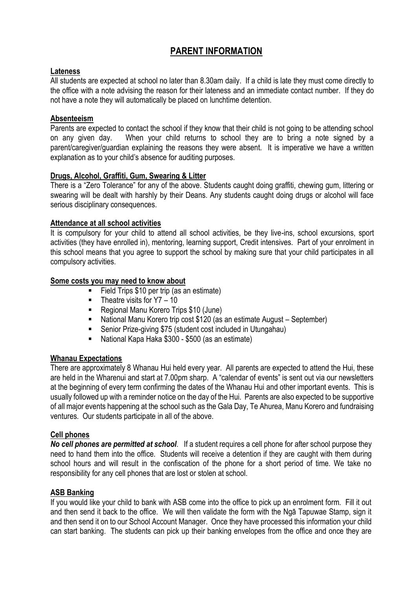# **PARENT INFORMATION**

## **Lateness**

All students are expected at school no later than 8.30am daily. If a child is late they must come directly to the office with a note advising the reason for their lateness and an immediate contact number. If they do not have a note they will automatically be placed on lunchtime detention.

## **Absenteeism**

Parents are expected to contact the school if they know that their child is not going to be attending school on any given day. When your child returns to school they are to bring a note signed by a parent/caregiver/guardian explaining the reasons they were absent. It is imperative we have a written explanation as to your child's absence for auditing purposes.

### **Drugs, Alcohol, Graffiti, Gum, Swearing & Litter**

There is a "Zero Tolerance" for any of the above. Students caught doing graffiti, chewing gum, littering or swearing will be dealt with harshly by their Deans. Any students caught doing drugs or alcohol will face serious disciplinary consequences.

# **Attendance at all school activities**

It is compulsory for your child to attend all school activities, be they live-ins, school excursions, sport activities (they have enrolled in), mentoring, learning support, Credit intensives. Part of your enrolment in this school means that you agree to support the school by making sure that your child participates in all compulsory activities.

# **Some costs you may need to know about**

- Field Trips \$10 per trip (as an estimate)
- $\blacksquare$  Theatre visits for Y7 10
- Regional Manu Korero Trips \$10 (June)
- National Manu Korero trip cost \$120 (as an estimate August September)
- Senior Prize-giving \$75 (student cost included in Utungahau)
- National Kapa Haka \$300 \$500 (as an estimate)

### **Whanau Expectations**

There are approximately 8 Whanau Hui held every year. All parents are expected to attend the Hui, these are held in the Wharenui and start at 7.00pm sharp. A "calendar of events" is sent out via our newsletters at the beginning of every term confirming the dates of the Whanau Hui and other important events. This is usually followed up with a reminder notice on the day of the Hui. Parents are also expected to be supportive of all major events happening at the school such as the Gala Day, Te Ahurea, Manu Korero and fundraising ventures. Our students participate in all of the above.

### **Cell phones**

*No cell phones are permitted at school*. If a student requires a cell phone for after school purpose they need to hand them into the office. Students will receive a detention if they are caught with them during school hours and will result in the confiscation of the phone for a short period of time. We take no responsibility for any cell phones that are lost or stolen at school.

### **ASB Banking**

If you would like your child to bank with ASB come into the office to pick up an enrolment form. Fill it out and then send it back to the office. We will then validate the form with the Ngā Tapuwae Stamp, sign it and then send it on to our School Account Manager. Once they have processed this information your child can start banking. The students can pick up their banking envelopes from the office and once they are